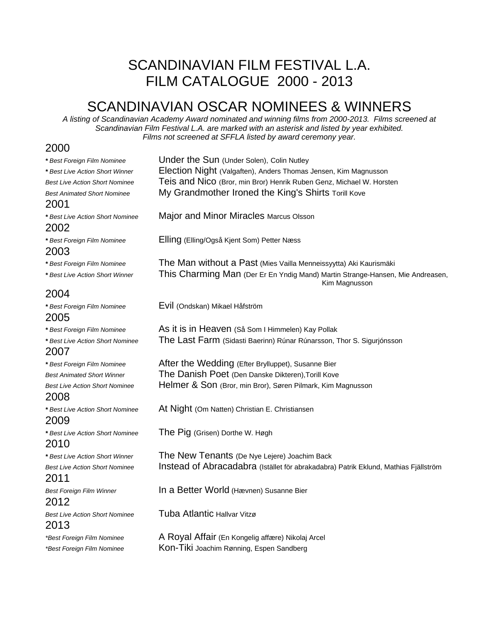## SCANDINAVIAN FILM FESTIVAL L.A. FILM CATALOGUE 2000 - 2013

## SCANDINAVIAN OSCAR NOMINEES & WINNERS

*A listing of Scandinavian Academy Award nominated and winning films from 2000-2013. Films screened at Scandinavian Film Festival L.A. are marked with an asterisk and listed by year exhibited. Films not screened at SFFLA listed by award ceremony year.*

#### 2000

| * Best Foreign Film Nominee           | Under the Sun (Under Solen), Colin Nutley                                                       |
|---------------------------------------|-------------------------------------------------------------------------------------------------|
| * Best Live Action Short Winner       | Election Night (Valgaften), Anders Thomas Jensen, Kim Magnusson                                 |
| <b>Best Live Action Short Nominee</b> | Teis and Nico (Bror, min Bror) Henrik Ruben Genz, Michael W. Horsten                            |
| <b>Best Animated Short Nominee</b>    | My Grandmother Ironed the King's Shirts Torill Kove                                             |
| 2001                                  |                                                                                                 |
| * Best Live Action Short Nominee      | Major and Minor Miracles Marcus Olsson                                                          |
| 2002                                  |                                                                                                 |
| * Best Foreign Film Nominee<br>2003   | Elling (Elling/Også Kjent Som) Petter Næss                                                      |
| * Best Foreign Film Nominee           | The Man without a Past (Mies Vailla Menneissyytta) Aki Kaurismäki                               |
| * Best Live Action Short Winner       | This Charming Man (Der Er En Yndig Mand) Martin Strange-Hansen, Mie Andreasen,<br>Kim Magnusson |
| 2004                                  |                                                                                                 |
| * Best Foreign Film Nominee           | Evil (Ondskan) Mikael Håfström                                                                  |
| 2005                                  |                                                                                                 |
| * Best Foreign Film Nominee           | As it is in Heaven (Så Som I Himmelen) Kay Pollak                                               |
| * Best Live Action Short Nominee      | The Last Farm (Sidasti Baerinn) Rúnar Rúnarsson, Thor S. Sigurjónsson                           |
| 2007                                  |                                                                                                 |
| * Best Foreign Film Nominee           | After the Wedding (Efter Brylluppet), Susanne Bier                                              |
| <b>Best Animated Short Winner</b>     | The Danish Poet (Den Danske Dikteren), Torill Kove                                              |
| <b>Best Live Action Short Nominee</b> | Helmer & Son (Bror, min Bror), Søren Pilmark, Kim Magnusson                                     |
| 2008                                  |                                                                                                 |
| * Best Live Action Short Nominee      | At Night (Om Natten) Christian E. Christiansen                                                  |
| 2009                                  |                                                                                                 |
| * Best Live Action Short Nominee      | The Pig (Grisen) Dorthe W. Høgh                                                                 |
| 2010                                  |                                                                                                 |
| * Best Live Action Short Winner       | The New Tenants (De Nye Lejere) Joachim Back                                                    |
| <b>Best Live Action Short Nominee</b> | Instead of Abracadabra (Istället för abrakadabra) Patrik Eklund, Mathias Fjällström             |
| 2011                                  |                                                                                                 |
| <b>Best Foreign Film Winner</b>       | In a Better World (Hævnen) Susanne Bier                                                         |
| 2012                                  |                                                                                                 |
| <b>Best Live Action Short Nominee</b> | Tuba Atlantic Hallvar Vitzø                                                                     |
| 2013                                  |                                                                                                 |
| *Best Foreign Film Nominee            | A Royal Affair (En Kongelig affære) Nikolaj Arcel                                               |
| *Best Foreign Film Nominee            | Kon-Tiki Joachim Rønning, Espen Sandberg                                                        |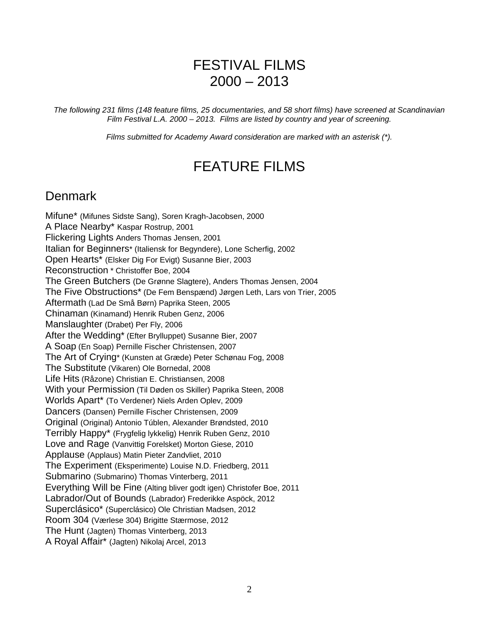## FESTIVAL FILMS  $2000 - 2013$

*The following 231 films (148 feature films, 25 documentaries, and 58 short films) have screened at Scandinavian Film Festival L.A. 2000 – 2013. Films are listed by country and year of screening.*

*Films submitted for Academy Award consideration are marked with an asterisk (\*).*

## FEATURE FILMS

#### **Denmark**

Mifune\* (Mifunes Sidste Sang), Soren Kragh-Jacobsen, 2000 A Place Nearby\* Kaspar Rostrup, 2001 Flickering Lights Anders Thomas Jensen, 2001 Italian for Beginners\* (Italiensk for Begyndere), Lone Scherfig, 2002 Open Hearts\* (Elsker Dig For Evigt) Susanne Bier, 2003 Reconstruction \* Christoffer Boe, 2004 The Green Butchers (De Grønne Slagtere), Anders Thomas Jensen, 2004 The Five Obstructions\* (De Fem Benspænd) Jørgen Leth, Lars von Trier, 2005 Aftermath (Lad De Små Børn) Paprika Steen, 2005 Chinaman (Kinamand) Henrik Ruben Genz, 2006 Manslaughter (Drabet) Per Fly, 2006 After the Wedding\* (Efter Brylluppet) Susanne Bier, 2007 A Soap (En Soap) Pernille Fischer Christensen, 2007 The Art of Crying\* (Kunsten at Græde) Peter Schønau Fog, 2008 The Substitute (Vikaren) Ole Bornedal, 2008 Life Hits (Råzone) Christian E. Christiansen, 2008 With your Permission (Til Døden os Skiller) Paprika Steen, 2008 Worlds Apart\* (To Verdener) Niels Arden Oplev, 2009 Dancers (Dansen) Pernille Fischer Christensen, 2009 Original (Original) Antonio Túblen, Alexander Brøndsted, 2010 Terribly Happy\* (Frygfelig lykkelig) Henrik Ruben Genz, 2010 Love and Rage (Vanvittig Forelsket) Morton Giese, 2010 Applause (Applaus) Matin Pieter Zandvliet, 2010 The Experiment (Eksperimente) Louise N.D. Friedberg, 2011 Submarino (Submarino) Thomas Vinterberg, 2011 Everything Will be Fine (Alting bliver godt igen) Christofer Boe, 2011 Labrador/Out of Bounds (Labrador) Frederikke Aspöck, 2012 Superclásico\* (Superclásico) Ole Christian Madsen, 2012 Room 304 (Værlese 304) Brigitte Stærmose, 2012 The Hunt (Jagten) Thomas Vinterberg, 2013 A Royal Affair\* (Jagten) Nikolaj Arcel, 2013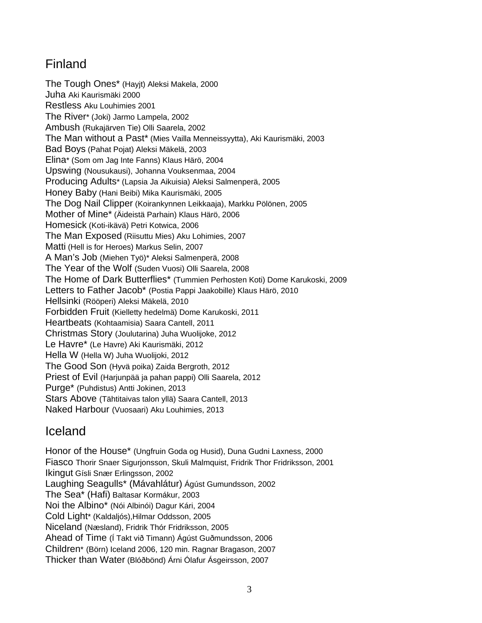## Finland

The Tough Ones\* (Hayjt) Aleksi Makela, 2000 Juha Aki Kaurismäki 2000 Restless Aku Louhimies 2001 The River\* (Joki) Jarmo Lampela, 2002 Ambush (Rukajärven Tie) Olli Saarela, 2002 The Man without a Past\* (Mies Vailla Menneissyytta), Aki Kaurismäki, 2003 Bad Boys (Pahat Pojat) Aleksi Mäkelä, 2003 Elina\* (Som om Jag Inte Fanns) Klaus Härö, 2004 Upswing (Nousukausi), Johanna Vouksenmaa, 2004 Producing Adults\* (Lapsia Ja Aikuisia) Aleksi Salmenperä, 2005 Honey Baby (Hani Beibi) Mika Kaurismäki, 2005 The Dog Nail Clipper (Koirankynnen Leikkaaja), Markku Pölönen, 2005 Mother of Mine\* (Äideistä Parhain) Klaus Härö, 2006 Homesick (Koti-ikävä) Petri Kotwica, 2006 The Man Exposed (Riisuttu Mies) Aku Lohimies, 2007 Matti (Hell is for Heroes) Markus Selin, 2007 A Man's Job (Miehen Työ)\* Aleksi Salmenperä, 2008 The Year of the Wolf (Suden Vuosi) Olli Saarela, 2008 The Home of Dark Butterflies\* (Tummien Perhosten Koti) Dome Karukoski, 2009 Letters to Father Jacob\* (Postia Pappi Jaakobille) Klaus Härö, 2010 Hellsinki (Rööperi) Aleksi Mäkelä, 2010 Forbidden Fruit (Kielletty hedelmä) Dome Karukoski, 2011 Heartbeats (Kohtaamisia) Saara Cantell, 2011 Christmas Story (Joulutarina) Juha Wuolijoke, 2012 Le Havre\* (Le Havre) Aki Kaurismäki, 2012 Hella W (Hella W) Juha Wuolijoki, 2012 The Good Son (Hyvä poika) Zaida Bergroth, 2012 Priest of Evil (Harjunpää ja pahan pappi) Olli Saarela, 2012 Purge\* (Puhdistus) Antti Jokinen, 2013 Stars Above (Tähtitaivas talon yllä) Saara Cantell, 2013 Naked Harbour (Vuosaari) Aku Louhimies, 2013

## Iceland

Honor of the House\* (Ungfruin Goda og Husid), Duna Gudni Laxness, 2000 Fiasco Thorir Snaer Sigurjonsson, Skuli Malmquist, Fridrik Thor Fridriksson, 2001 Ikingut Gísli Snær Erlingsson, 2002 Laughing Seagulls\* (Mávahlátur) Ágúst Gumundsson, 2002 The Sea\* (Hafi) Baltasar Kormákur, 2003 Noi the Albino\* (Nói Albinói) Dagur Kári, 2004 Cold Light\* (Kaldaljós),Hilmar Oddsson, 2005 Niceland (Næsland), Fridrik Thór Fridriksson, 2005 Ahead of Time (Í Takt við Timann) Ágúst Guðmundsson, 2006 Children\* (Börn) Iceland 2006, 120 min. Ragnar Bragason, 2007 Thicker than Water (Blóðbönd) Árni Ólafur Ásgeirsson, 2007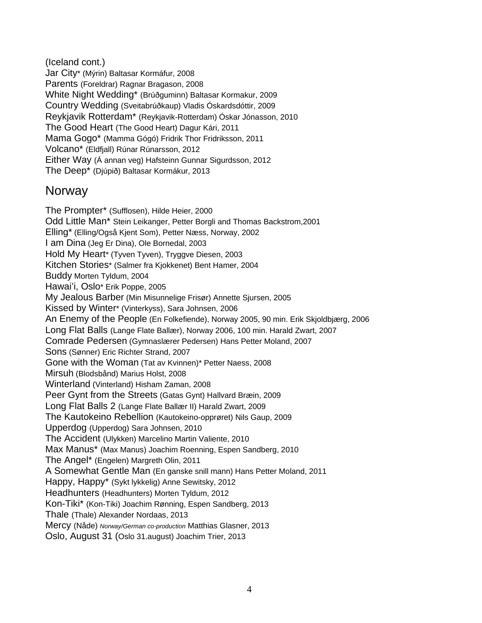(Iceland cont.) Jar City\* (Mýrin) Baltasar Kormáfur, 2008 Parents (Foreldrar) Ragnar Bragason, 2008 White Night Wedding\* (Brúðguminn) Baltasar Kormakur, 2009 Country Wedding (Sveitabrúðkaup) Vladis Óskardsdóttir, 2009 Reykjavik Rotterdam\* (Reykjavik-Rotterdam) Óskar Jónasson, 2010 The Good Heart (The Good Heart) Dagur Kári, 2011 Mama Gogo\* (Mamma Gógó) Fridrik Thor Fridriksson, 2011 Volcano\* (Eldfjall) Rúnar Rúnarsson, 2012 Either Way (Á annan veg) Hafsteinn Gunnar Sigurdsson, 2012 The Deep\* (Djúpið) Baltasar Kormákur, 2013

#### **Norway**

The Prompter\* (Sufflosen), Hilde Heier, 2000 Odd Little Man\* Stein Leikanger, Petter Borgli and Thomas Backstrom,2001 Elling\* (Elling/Også Kjent Som), Petter Næss, Norway, 2002 I am Dina (Jeg Er Dina), Ole Bornedal, 2003 Hold My Heart\* (Tyven Tyven), Tryggve Diesen, 2003 Kitchen Stories\* (Salmer fra Kjokkenet) Bent Hamer, 2004 Buddy Morten Tyldum, 2004 Hawai'i, Oslo\* Erik Poppe, 2005 My Jealous Barber (Min Misunnelige Frisør) Annette Sjursen, 2005 Kissed by Winter\* (Vinterkyss), Sara Johnsen, 2006 An Enemy of the People (En Folkefiende), Norway 2005, 90 min. Erik Skjoldbjærg, 2006 Long Flat Balls (Lange Flate Ballær), Norway 2006, 100 min. Harald Zwart, 2007 Comrade Pedersen (Gymnaslærer Pedersen) Hans Petter Moland, 2007 Sons (Sønner) Eric Richter Strand, 2007 Gone with the Woman (Tat av Kvinnen)\* Petter Naess, 2008 Mirsuh (Blodsbånd) Marius Holst, 2008 Winterland (Vinterland) Hisham Zaman, 2008 Peer Gynt from the Streets (Gatas Gynt) Hallvard Bræin, 2009 Long Flat Balls 2 (Lange Flate Ballær II) Harald Zwart, 2009 The Kautokeino Rebellion (Kautokeino-opprøret) Nils Gaup, 2009 Upperdog (Upperdog) Sara Johnsen, 2010 The Accident (Ulykken) Marcelino Martin Valiente, 2010 Max Manus\* (Max Manus) Joachim Roenning, Espen Sandberg, 2010 The Angel\* (Engelen) Margreth Olin, 2011 A Somewhat Gentle Man (En ganske snill mann) Hans Petter Moland, 2011 Happy, Happy\* (Sykt lykkelig) Anne Sewitsky, 2012 Headhunters (Headhunters) Morten Tyldum, 2012 Kon-Tiki\* (Kon-Tiki) Joachim Rønning, Espen Sandberg, 2013 Thale (Thale) Alexander Nordaas, 2013 Mercy (Nåde) *Norway/German co-production* Matthias Glasner, 2013 Oslo, August 31 (Oslo 31.august) Joachim Trier, 2013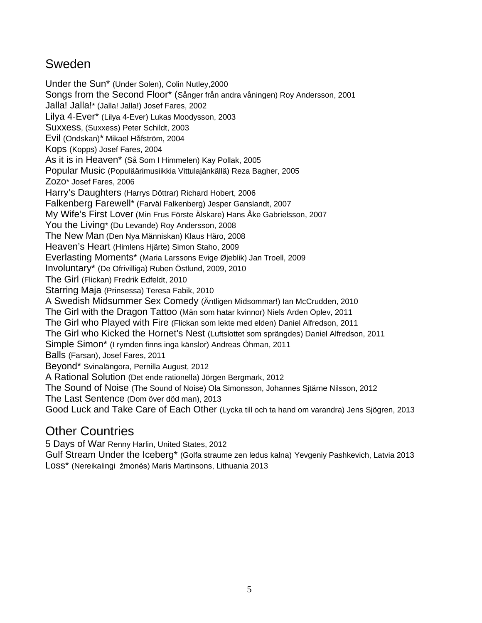### Sweden

Under the Sun\* (Under Solen), Colin Nutley,2000 Songs from the Second Floor\* (Sånger från andra våningen) Roy Andersson, 2001 Jalla! Jalla!\* (Jalla! Jalla!) Josef Fares, 2002 Lilya 4-Ever\* (Lilya 4-Ever) Lukas Moodysson, 2003 Suxxess, (Suxxess) Peter Schildt, 2003 Evil (Ondskan)\* Mikael Håfström, 2004 Kops (Kopps) Josef Fares, 2004 As it is in Heaven\* (Så Som I Himmelen) Kay Pollak, 2005 Popular Music (Populäärimusiikkia Vittulajänkällä) Reza Bagher, 2005 Zozo\* Josef Fares, 2006 Harry's Daughters (Harrys Döttrar) Richard Hobert, 2006 Falkenberg Farewell\* (Farväl Falkenberg) Jesper Ganslandt, 2007 My Wife's First Lover (Min Frus Förste Älskare) Hans Åke Gabrielsson, 2007 You the Living\* (Du Levande) Roy Andersson, 2008 The New Man (Den Nya Människan) Klaus Häro, 2008 Heaven's Heart (Himlens Hjärte) Simon Staho, 2009 Everlasting Moments\* (Maria Larssons Evige Øjeblik) Jan Troell, 2009 Involuntary\* (De Ofrivilliga) Ruben Östlund, 2009, 2010 The Girl (Flickan) Fredrik Edfeldt, 2010 Starring Maja (Prinsessa) Teresa Fabik, 2010 A Swedish Midsummer Sex Comedy (Äntligen Midsommar!) Ian McCrudden, 2010 The Girl with the Dragon Tattoo (Män som hatar kvinnor) Niels Arden Oplev, 2011 The Girl who Played with Fire (Flickan som lekte med elden) Daniel Alfredson, 2011 The Girl who Kicked the Hornet's Nest (Luftslottet som sprängdes) Daniel Alfredson, 2011 Simple Simon\* (I rymden finns inga känslor) Andreas Öhman, 2011 Balls (Farsan), Josef Fares, 2011 Beyond\* Svinalängora, Pernilla August, 2012 A Rational Solution (Det ende rationella) Jörgen Bergmark, 2012 The Sound of Noise (The Sound of Noise) Ola Simonsson, Johannes Sjtärne Nilsson, 2012 The Last Sentence (Dom över död man), 2013 Good Luck and Take Care of Each Other (Lycka till och ta hand om varandra) Jens Sjögren, 2013

## Other Countries

5 Days of War Renny Harlin, United States, 2012

Gulf Stream Under the Iceberg\* (Golfa straume zen ledus kalna) Yevgeniy Pashkevich, Latvia 2013 Loss\* (Nereikalingi žmonės) Maris Martinsons, Lithuania 2013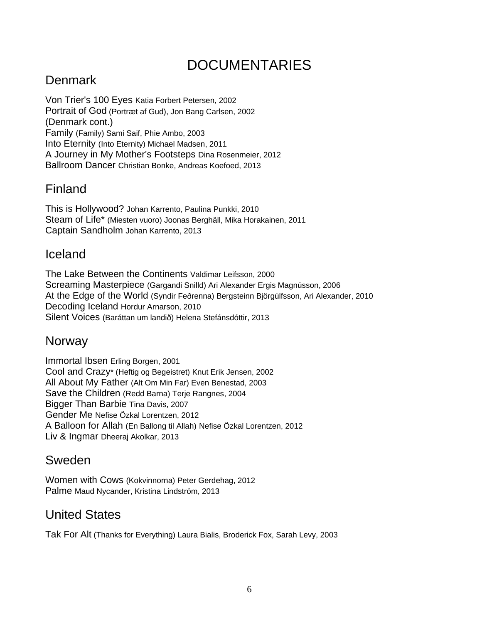# DOCUMENTARIES

## **Denmark**

Von Trier's 100 Eyes Katia Forbert Petersen, 2002 Portrait of God (Portræt af Gud), Jon Bang Carlsen, 2002 (Denmark cont.) Family (Family) Sami Saif, Phie Ambo, 2003 Into Eternity (Into Eternity) Michael Madsen, 2011 A Journey in My Mother's Footsteps Dina Rosenmeier, 2012 Ballroom Dancer Christian Bonke, Andreas Koefoed, 2013

## Finland

This is Hollywood? Johan Karrento, Paulina Punkki, 2010 Steam of Life\* (Miesten vuoro) Joonas Berghäll, Mika Horakainen, 2011 Captain Sandholm Johan Karrento, 2013

#### Iceland

The Lake Between the Continents Valdimar Leifsson, 2000 Screaming Masterpiece (Gargandi Snilld) Ari Alexander Ergis Magnússon, 2006 At the Edge of the World (Syndir Feðrenna) Bergsteinn Björgúlfsson, Ari Alexander, 2010 Decoding Iceland Hordur Arnarson, 2010 Silent Voices (Baráttan um landið) Helena Stefánsdóttir, 2013

#### Norway

Immortal Ibsen Erling Borgen, 2001 Cool and Crazy\* (Heftig og Begeistret) Knut Erik Jensen, 2002 All About My Father (Alt Om Min Far) Even Benestad, 2003 Save the Children (Redd Barna) Terje Rangnes, 2004 Bigger Than Barbie Tina Davis, 2007 Gender Me Nefise Özkal Lorentzen, 2012 A Balloon for Allah (En Ballong til Allah) Nefise Özkal Lorentzen, 2012 Liv & Ingmar Dheeraj Akolkar, 2013

#### Sweden

Women with Cows (Kokvinnorna) Peter Gerdehag, 2012 Palme Maud Nycander, Kristina Lindström, 2013

#### United States

Tak For Alt (Thanks for Everything) Laura Bialis, Broderick Fox, Sarah Levy, 2003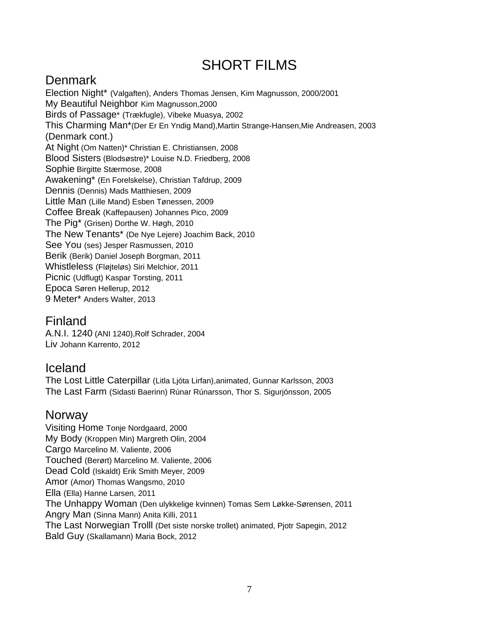## SHORT FILMS

## Denmark

Election Night\* (Valgaften), Anders Thomas Jensen, Kim Magnusson, 2000/2001 My Beautiful Neighbor Kim Magnusson,2000 Birds of Passage\* (Trækfugle), Vibeke Muasya, 2002 This Charming Man\*(Der Er En Yndig Mand),Martin Strange-Hansen,Mie Andreasen, 2003 (Denmark cont.) At Night (Om Natten)\* Christian E. Christiansen, 2008 Blood Sisters (Blodsøstre)\* Louise N.D. Friedberg, 2008 Sophie Birgitte Stærmose, 2008 Awakening\* (En Forelskelse), Christian Tafdrup, 2009 Dennis (Dennis) Mads Matthiesen, 2009 Little Man (Lille Mand) Esben Tønessen, 2009 Coffee Break (Kaffepausen) Johannes Pico, 2009 The Pig\* (Grisen) Dorthe W. Høgh, 2010 The New Tenants\* (De Nye Lejere) Joachim Back, 2010 See You (ses) Jesper Rasmussen, 2010 Berik (Berik) Daniel Joseph Borgman, 2011 Whistleless (Fløjteløs) Siri Melchior, 2011 Picnic (Udflugt) Kaspar Torsting, 2011 Epoca Søren Hellerup, 2012 9 Meter\* Anders Walter, 2013

## Finland

A.N.I. 1240 (ANI 1240),Rolf Schrader, 2004 Liv Johann Karrento, 2012

## Iceland

The Lost Little Caterpillar (Litla Ljóta Lirfan),animated, Gunnar Karlsson, 2003 The Last Farm (Sidasti Baerinn) Rúnar Rúnarsson, Thor S. Sigurjónsson, 2005

#### **Norway**

Visiting Home Tonje Nordgaard, 2000 My Body (Kroppen Min) Margreth Olin, 2004 Cargo Marcelino M. Valiente, 2006 Touched (Berørt) Marcelino M. Valiente, 2006 Dead Cold (Iskaldt) Erik Smith Meyer, 2009 Amor (Amor) Thomas Wangsmo, 2010 Ella (Ella) Hanne Larsen, 2011 The Unhappy Woman (Den ulykkelige kvinnen) Tomas Sem Løkke-Sørensen, 2011 Angry Man (Sinna Mann) Anita Killi, 2011 The Last Norwegian Trolll (Det siste norske trollet) animated, Pjotr Sapegin, 2012 Bald Guy (Skallamann) Maria Bock, 2012